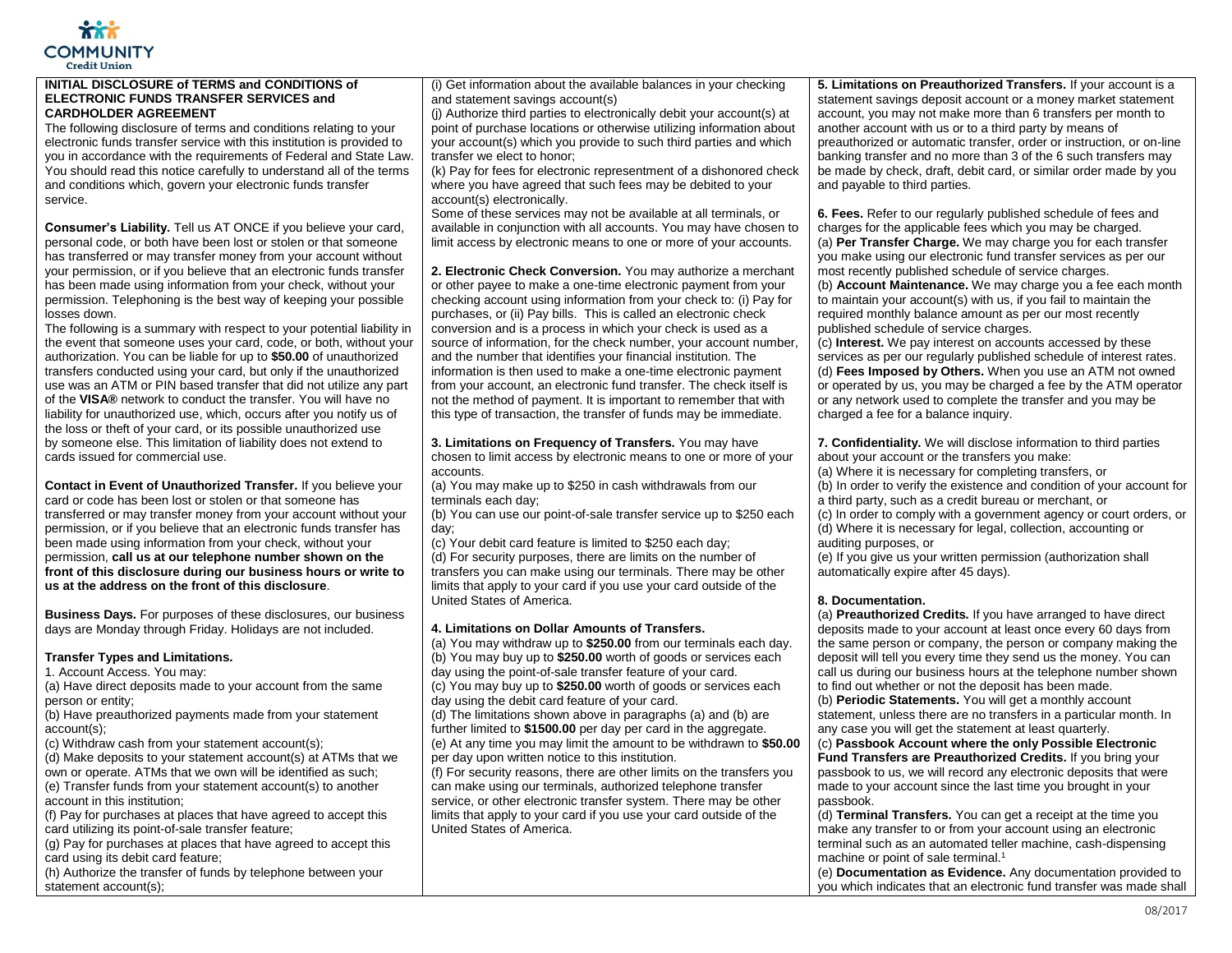

## **INITIAL DISCLOSURE of TERMS and CONDITIONS of ELECTRONIC FUNDS TRANSFER SERVICES and CARDHOLDER AGREEMENT**

The following disclosure of terms and conditions relating to your electronic funds transfer service with this institution is provided to you in accordance with the requirements of Federal and State Law. You should read this notice carefully to understand all of the terms and conditions which, govern your electronic funds transfer service.

**Consumer's Liability.** Tell us AT ONCE if you believe your card. personal code, or both have been lost or stolen or that someone has transferred or may transfer money from your account without your permission, or if you believe that an electronic funds transfer has been made using information from your check, without your permission. Telephoning is the best way of keeping your possible losses down.

The following is a summary with respect to your potential liability in the event that someone uses your card, code, or both, without your authorization. You can be liable for up to **\$50.00** of unauthorized transfers conducted using your card, but only if the unauthorized use was an ATM or PIN based transfer that did not utilize any part of the **VISA®** network to conduct the transfer. You will have no liability for unauthorized use, which, occurs after you notify us of the loss or theft of your card, or its possible unauthorized use by someone else. This limitation of liability does not extend to cards issued for commercial use.

**Contact in Event of Unauthorized Transfer.** If you believe your card or code has been lost or stolen or that someone has transferred or may transfer money from your account without your permission, or if you believe that an electronic funds transfer has been made using information from your check, without your permission, **call us at our telephone number shown on the front of this disclosure during our business hours or write to us at the address on the front of this disclosure**.

**Business Days.** For purposes of these disclosures, our business days are Monday through Friday. Holidays are not included.

# **Transfer Types and Limitations.**

1. Account Access. You may:

(a) Have direct deposits made to your account from the same person or entity;

(b) Have preauthorized payments made from your statement account(s);

(c) Withdraw cash from your statement account(s);

(d) Make deposits to your statement account(s) at ATMs that we own or operate. ATMs that we own will be identified as such;

(e) Transfer funds from your statement account(s) to another account in this institution;

(f) Pay for purchases at places that have agreed to accept this card utilizing its point-of-sale transfer feature;

(g) Pay for purchases at places that have agreed to accept this card using its debit card feature;

(h) Authorize the transfer of funds by telephone between your statement account(s);

(i) Get information about the available balances in your checking and statement savings account(s)

(j) Authorize third parties to electronically debit your account(s) at point of purchase locations or otherwise utilizing information about your account(s) which you provide to such third parties and which transfer we elect to honor;

(k) Pay for fees for electronic representment of a dishonored check where you have agreed that such fees may be debited to your account(s) electronically.

Some of these services may not be available at all terminals, or available in conjunction with all accounts. You may have chosen to limit access by electronic means to one or more of your accounts.

**2. Electronic Check Conversion.** You may authorize a merchant or other payee to make a one-time electronic payment from your checking account using information from your check to: (i) Pay for purchases, or (ii) Pay bills. This is called an electronic check conversion and is a process in which your check is used as a source of information, for the check number, your account number, and the number that identifies your financial institution. The information is then used to make a one-time electronic payment from your account, an electronic fund transfer. The check itself is not the method of payment. It is important to remember that with this type of transaction, the transfer of funds may be immediate.

**3. Limitations on Frequency of Transfers.** You may have chosen to limit access by electronic means to one or more of your accounts.

(a) You may make up to \$250 in cash withdrawals from our terminals each day;

(b) You can use our point-of-sale transfer service up to \$250 each day;

(c) Your debit card feature is limited to \$250 each day; (d) For security purposes, there are limits on the number of transfers you can make using our terminals. There may be other limits that apply to your card if you use your card outside of the United States of America.

# **4. Limitations on Dollar Amounts of Transfers.**

United States of America.

(a) You may withdraw up to **\$250.00** from our terminals each day. (b) You may buy up to **\$250.00** worth of goods or services each day using the point-of-sale transfer feature of your card. (c) You may buy up to **\$250.00** worth of goods or services each day using the debit card feature of your card. (d) The limitations shown above in paragraphs (a) and (b) are further limited to **\$1500.00** per day per card in the aggregate. (e) At any time you may limit the amount to be withdrawn to **\$50.00**  per day upon written notice to this institution. (f) For security reasons, there are other limits on the transfers you can make using our terminals, authorized telephone transfer service, or other electronic transfer system. There may be other limits that apply to your card if you use your card outside of the

**5. Limitations on Preauthorized Transfers.** If your account is a statement savings deposit account or a money market statement account, you may not make more than 6 transfers per month to another account with us or to a third party by means of preauthorized or automatic transfer, order or instruction, or on-line banking transfer and no more than 3 of the 6 such transfers may be made by check, draft, debit card, or similar order made by you and payable to third parties.

**6. Fees.** Refer to our regularly published schedule of fees and charges for the applicable fees which you may be charged. (a) **Per Transfer Charge.** We may charge you for each transfer you make using our electronic fund transfer services as per our most recently published schedule of service charges. (b) **Account Maintenance.** We may charge you a fee each month to maintain your account(s) with us, if you fail to maintain the required monthly balance amount as per our most recently published schedule of service charges.

(c) **Interest.** We pay interest on accounts accessed by these services as per our regularly published schedule of interest rates. (d) **Fees Imposed by Others.** When you use an ATM not owned or operated by us, you may be charged a fee by the ATM operator or any network used to complete the transfer and you may be charged a fee for a balance inquiry.

**7. Confidentiality.** We will disclose information to third parties about your account or the transfers you make:

(a) Where it is necessary for completing transfers, or

(b) In order to verify the existence and condition of your account for a third party, such as a credit bureau or merchant, or

(c) In order to comply with a government agency or court orders, or (d) Where it is necessary for legal, collection, accounting or auditing purposes, or

(e) If you give us your written permission (authorization shall automatically expire after 45 days).

# **8. Documentation.**

(a) **Preauthorized Credits.** If you have arranged to have direct deposits made to your account at least once every 60 days from the same person or company, the person or company making the deposit will tell you every time they send us the money. You can call us during our business hours at the telephone number shown to find out whether or not the deposit has been made.

(b) **Periodic Statements.** You will get a monthly account statement, unless there are no transfers in a particular month. In any case you will get the statement at least quarterly.

(c) **Passbook Account where the only Possible Electronic Fund Transfers are Preauthorized Credits.** If you bring your passbook to us, we will record any electronic deposits that were made to your account since the last time you brought in your passbook.

(d) **Terminal Transfers.** You can get a receipt at the time you make any transfer to or from your account using an electronic terminal such as an automated teller machine, cash-dispensing machine or point of sale terminal.<sup>1</sup>

(e) **Documentation as Evidence.** Any documentation provided to you which indicates that an electronic fund transfer was made shall